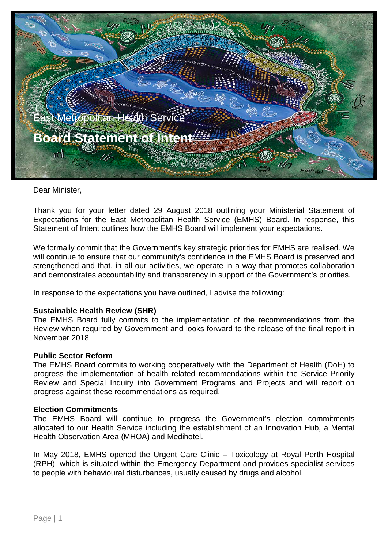

Dear Minister,

Thank you for your letter dated 29 August 2018 outlining your Ministerial Statement of Expectations for the East Metropolitan Health Service (EMHS) Board. In response, this Statement of Intent outlines how the EMHS Board will implement your expectations.

We formally commit that the Government's key strategic priorities for EMHS are realised. We will continue to ensure that our community's confidence in the EMHS Board is preserved and strengthened and that, in all our activities, we operate in a way that promotes collaboration and demonstrates accountability and transparency in support of the Government's priorities.

In response to the expectations you have outlined, I advise the following:

# **Sustainable Health Review (SHR)**

The EMHS Board fully commits to the implementation of the recommendations from the Review when required by Government and looks forward to the release of the final report in November 2018.

### **Public Sector Reform**

The EMHS Board commits to working cooperatively with the Department of Health (DoH) to progress the implementation of health related recommendations within the Service Priority Review and Special Inquiry into Government Programs and Projects and will report on progress against these recommendations as required.

### **Election Commitments**

The EMHS Board will continue to progress the Government's election commitments allocated to our Health Service including the establishment of an Innovation Hub, a Mental Health Observation Area (MHOA) and Medihotel.

In May 2018, EMHS opened the Urgent Care Clinic – Toxicology at Royal Perth Hospital (RPH), which is situated within the Emergency Department and provides specialist services to people with behavioural disturbances, usually caused by drugs and alcohol.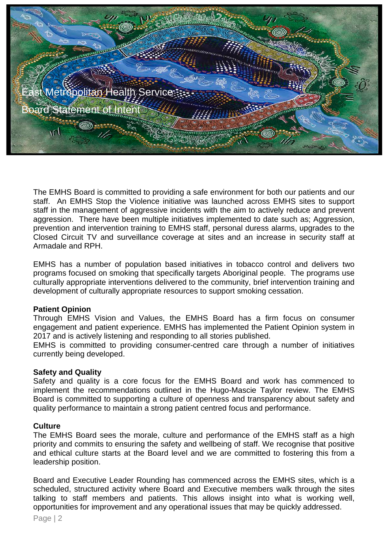

The EMHS Board is committed to providing a safe environment for both our patients and our staff. An EMHS Stop the Violence initiative was launched across EMHS sites to support staff in the management of aggressive incidents with the aim to actively reduce and prevent aggression. There have been multiple initiatives implemented to date such as; Aggression, prevention and intervention training to EMHS staff, personal duress alarms, upgrades to the Closed Circuit TV and surveillance coverage at sites and an increase in security staff at Armadale and RPH.

EMHS has a number of population based initiatives in tobacco control and delivers two programs focused on smoking that specifically targets Aboriginal people. The programs use culturally appropriate interventions delivered to the community, brief intervention training and development of culturally appropriate resources to support smoking cessation.

# **Patient Opinion**

Through EMHS Vision and Values, the EMHS Board has a firm focus on consumer engagement and patient experience. EMHS has implemented the Patient Opinion system in 2017 and is actively listening and responding to all stories published.

EMHS is committed to providing consumer-centred care through a number of initiatives currently being developed.

# **Safety and Quality**

Safety and quality is a core focus for the EMHS Board and work has commenced to implement the recommendations outlined in the Hugo-Mascie Taylor review. The EMHS Board is committed to supporting a culture of openness and transparency about safety and quality performance to maintain a strong patient centred focus and performance.

# **Culture**

The EMHS Board sees the morale, culture and performance of the EMHS staff as a high priority and commits to ensuring the safety and wellbeing of staff. We recognise that positive and ethical culture starts at the Board level and we are committed to fostering this from a leadership position.

Board and Executive Leader Rounding has commenced across the EMHS sites, which is a scheduled, structured activity where Board and Executive members walk through the sites talking to staff members and patients. This allows insight into what is working well, opportunities for improvement and any operational issues that may be quickly addressed.